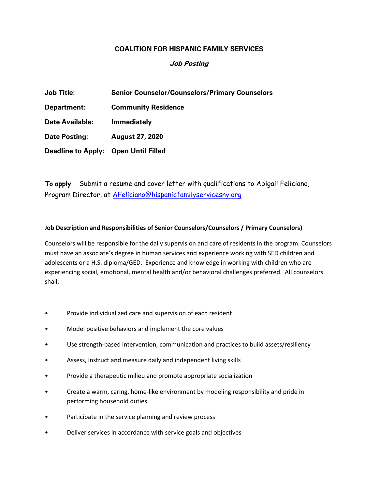## **COALITION FOR HISPANIC FAMILY SERVICES**

## **Job Posting**

| <b>Job Title:</b>                    | <b>Senior Counselor/Counselors/Primary Counselors</b> |
|--------------------------------------|-------------------------------------------------------|
| Department:                          | <b>Community Residence</b>                            |
| <b>Date Available:</b>               | <b>Immediately</b>                                    |
| <b>Date Posting:</b>                 | <b>August 27, 2020</b>                                |
| Deadline to Apply: Open Until Filled |                                                       |

To apply: Submit a resume and cover letter with qualifications to Abigail Feliciano, Program Director, at AFeliciano@hispanicfamilyservicesny.org

## **Job Description and Responsibilities of Senior Counselors/Counselors / Primary Counselors)**

Counselors will be responsible for the daily supervision and care of residents in the program. Counselors must have an associate's degree in human services and experience working with SED children and adolescents or a H.S. diploma/GED. Experience and knowledge in working with children who are experiencing social, emotional, mental health and/or behavioral challenges preferred. All counselors shall:

- Provide individualized care and supervision of each resident
- Model positive behaviors and implement the core values
- Use strength-based intervention, communication and practices to build assets/resiliency
- Assess, instruct and measure daily and independent living skills
- Provide a therapeutic milieu and promote appropriate socialization
- Create a warm, caring, home-like environment by modeling responsibility and pride in performing household duties
- Participate in the service planning and review process
- Deliver services in accordance with service goals and objectives